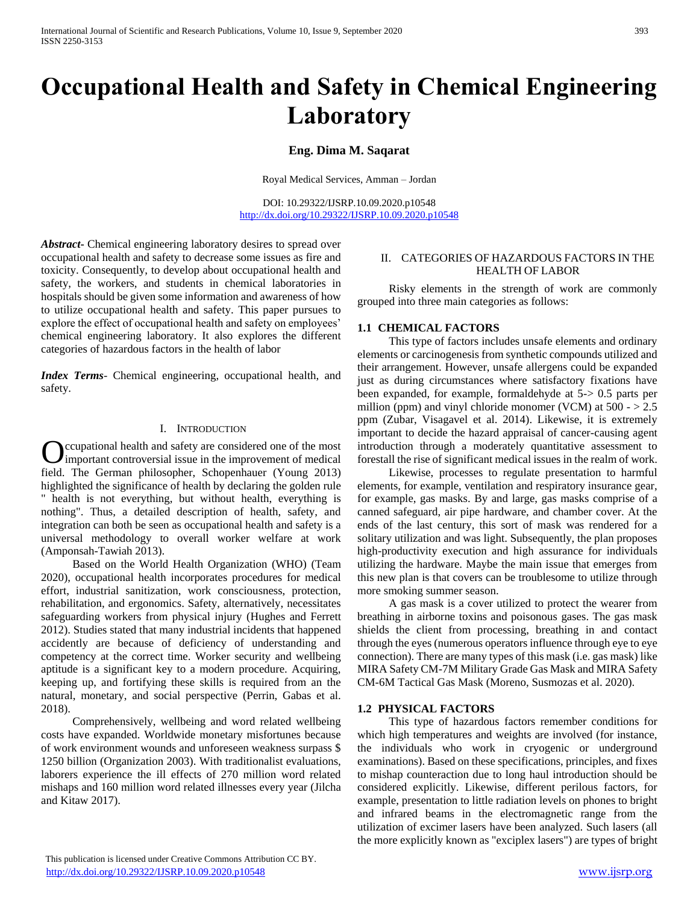# **Occupational Health and Safety in Chemical Engineering Laboratory**

**Eng. Dima M. Saqarat**

Royal Medical Services, Amman – Jordan

DOI: 10.29322/IJSRP.10.09.2020.p10548 <http://dx.doi.org/10.29322/IJSRP.10.09.2020.p10548>

*Abstract***-** Chemical engineering laboratory desires to spread over occupational health and safety to decrease some issues as fire and toxicity. Consequently, to develop about occupational health and safety, the workers, and students in chemical laboratories in hospitals should be given some information and awareness of how to utilize occupational health and safety. This paper pursues to explore the effect of occupational health and safety on employees' chemical engineering laboratory. It also explores the different categories of hazardous factors in the health of labor

*Index Terms*- Chemical engineering, occupational health, and safety.

#### I. INTRODUCTION

ccupational health and safety are considered one of the most **C** cupational health and safety are considered one of the most<br>important controversial issue in the improvement of medical field. The German philosopher, Schopenhauer (Young 2013) highlighted the significance of health by declaring the golden rule " health is not everything, but without health, everything is nothing". Thus, a detailed description of health, safety, and integration can both be seen as occupational health and safety is a universal methodology to overall worker welfare at work (Amponsah-Tawiah 2013).

 Based on the World Health Organization (WHO) (Team 2020), occupational health incorporates procedures for medical effort, industrial sanitization, work consciousness, protection, rehabilitation, and ergonomics. Safety, alternatively, necessitates safeguarding workers from physical injury (Hughes and Ferrett 2012). Studies stated that many industrial incidents that happened accidently are because of deficiency of understanding and competency at the correct time. Worker security and wellbeing aptitude is a significant key to a modern procedure. Acquiring, keeping up, and fortifying these skills is required from an the natural, monetary, and social perspective (Perrin, Gabas et al. 2018).

 Comprehensively, wellbeing and word related wellbeing costs have expanded. Worldwide monetary misfortunes because of work environment wounds and unforeseen weakness surpass \$ 1250 billion (Organization 2003). With traditionalist evaluations, laborers experience the ill effects of 270 million word related mishaps and 160 million word related illnesses every year (Jilcha and Kitaw 2017).

### II. CATEGORIES OF HAZARDOUS FACTORS IN THE HEALTH OF LABOR

 Risky elements in the strength of work are commonly grouped into three main categories as follows:

## **1.1 CHEMICAL FACTORS**

 This type of factors includes unsafe elements and ordinary elements or carcinogenesis from synthetic compounds utilized and their arrangement. However, unsafe allergens could be expanded just as during circumstances where satisfactory fixations have been expanded, for example, formaldehyde at 5-> 0.5 parts per million (ppm) and vinyl chloride monomer (VCM) at  $500 - > 2.5$ ppm (Zubar, Visagavel et al. 2014). Likewise, it is extremely important to decide the hazard appraisal of cancer-causing agent introduction through a moderately quantitative assessment to forestall the rise of significant medical issues in the realm of work.

 Likewise, processes to regulate presentation to harmful elements, for example, ventilation and respiratory insurance gear, for example, gas masks. By and large, gas masks comprise of a canned safeguard, air pipe hardware, and chamber cover. At the ends of the last century, this sort of mask was rendered for a solitary utilization and was light. Subsequently, the plan proposes high-productivity execution and high assurance for individuals utilizing the hardware. Maybe the main issue that emerges from this new plan is that covers can be troublesome to utilize through more smoking summer season.

 A gas mask is a cover utilized to protect the wearer from breathing in airborne toxins and poisonous gases. The gas mask shields the client from processing, breathing in and contact through the eyes (numerous operators influence through eye to eye connection). There are many types of this mask (i.e. gas mask) like MIRA Safety CM-7M Military Grade Gas Mask and MIRA Safety CM-6M Tactical Gas Mask (Moreno, Susmozas et al. 2020).

## **1.2 PHYSICAL FACTORS**

 This type of hazardous factors remember conditions for which high temperatures and weights are involved (for instance, the individuals who work in cryogenic or underground examinations). Based on these specifications, principles, and fixes to mishap counteraction due to long haul introduction should be considered explicitly. Likewise, different perilous factors, for example, presentation to little radiation levels on phones to bright and infrared beams in the electromagnetic range from the utilization of excimer lasers have been analyzed. Such lasers (all the more explicitly known as "exciplex lasers") are types of bright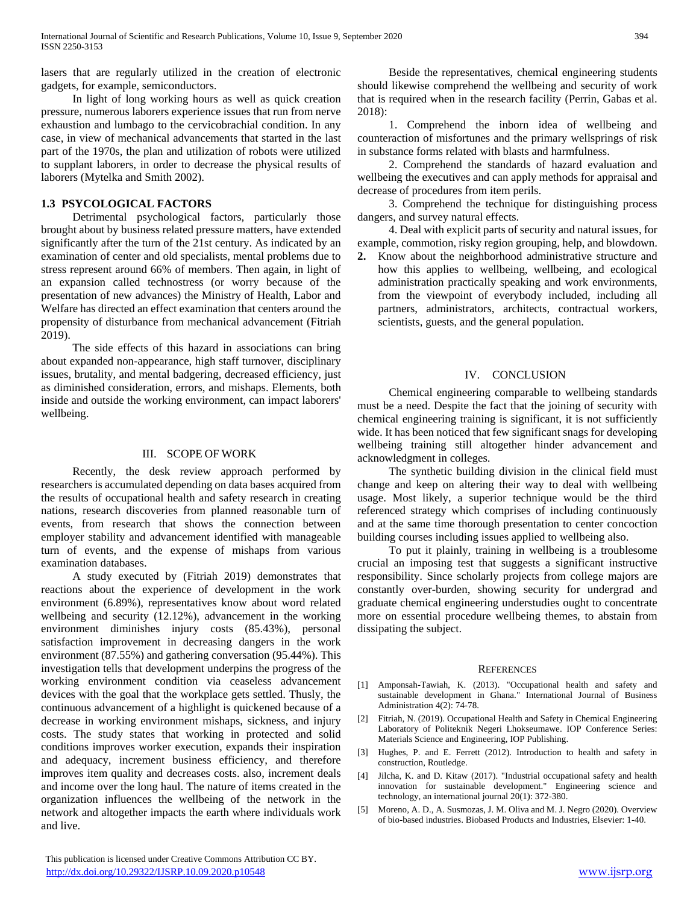lasers that are regularly utilized in the creation of electronic gadgets, for example, semiconductors.

 In light of long working hours as well as quick creation pressure, numerous laborers experience issues that run from nerve exhaustion and lumbago to the cervicobrachial condition. In any case, in view of mechanical advancements that started in the last part of the 1970s, the plan and utilization of robots were utilized to supplant laborers, in order to decrease the physical results of laborers (Mytelka and Smith 2002).

# **1.3 PSYCOLOGICAL FACTORS**

 Detrimental psychological factors, particularly those brought about by business related pressure matters, have extended significantly after the turn of the 21st century. As indicated by an examination of center and old specialists, mental problems due to stress represent around 66% of members. Then again, in light of an expansion called technostress (or worry because of the presentation of new advances) the Ministry of Health, Labor and Welfare has directed an effect examination that centers around the propensity of disturbance from mechanical advancement (Fitriah 2019).

 The side effects of this hazard in associations can bring about expanded non-appearance, high staff turnover, disciplinary issues, brutality, and mental badgering, decreased efficiency, just as diminished consideration, errors, and mishaps. Elements, both inside and outside the working environment, can impact laborers' wellbeing.

# III. SCOPE OF WORK

 Recently, the desk review approach performed by researchers is accumulated depending on data bases acquired from the results of occupational health and safety research in creating nations, research discoveries from planned reasonable turn of events, from research that shows the connection between employer stability and advancement identified with manageable turn of events, and the expense of mishaps from various examination databases.

 A study executed by (Fitriah 2019) demonstrates that reactions about the experience of development in the work environment (6.89%), representatives know about word related wellbeing and security (12.12%), advancement in the working environment diminishes injury costs (85.43%), personal satisfaction improvement in decreasing dangers in the work environment (87.55%) and gathering conversation (95.44%). This investigation tells that development underpins the progress of the working environment condition via ceaseless advancement devices with the goal that the workplace gets settled. Thusly, the continuous advancement of a highlight is quickened because of a decrease in working environment mishaps, sickness, and injury costs. The study states that working in protected and solid conditions improves worker execution, expands their inspiration and adequacy, increment business efficiency, and therefore improves item quality and decreases costs. also, increment deals and income over the long haul. The nature of items created in the organization influences the wellbeing of the network in the network and altogether impacts the earth where individuals work and live.

 Beside the representatives, chemical engineering students should likewise comprehend the wellbeing and security of work that is required when in the research facility (Perrin, Gabas et al. 2018):

 1. Comprehend the inborn idea of wellbeing and counteraction of misfortunes and the primary wellsprings of risk in substance forms related with blasts and harmfulness.

 2. Comprehend the standards of hazard evaluation and wellbeing the executives and can apply methods for appraisal and decrease of procedures from item perils.

 3. Comprehend the technique for distinguishing process dangers, and survey natural effects.

 4. Deal with explicit parts of security and natural issues, for example, commotion, risky region grouping, help, and blowdown.

**2.** Know about the neighborhood administrative structure and how this applies to wellbeing, wellbeing, and ecological administration practically speaking and work environments, from the viewpoint of everybody included, including all partners, administrators, architects, contractual workers, scientists, guests, and the general population.

## IV. CONCLUSION

 Chemical engineering comparable to wellbeing standards must be a need. Despite the fact that the joining of security with chemical engineering training is significant, it is not sufficiently wide. It has been noticed that few significant snags for developing wellbeing training still altogether hinder advancement and acknowledgment in colleges.

 The synthetic building division in the clinical field must change and keep on altering their way to deal with wellbeing usage. Most likely, a superior technique would be the third referenced strategy which comprises of including continuously and at the same time thorough presentation to center concoction building courses including issues applied to wellbeing also.

 To put it plainly, training in wellbeing is a troublesome crucial an imposing test that suggests a significant instructive responsibility. Since scholarly projects from college majors are constantly over-burden, showing security for undergrad and graduate chemical engineering understudies ought to concentrate more on essential procedure wellbeing themes, to abstain from dissipating the subject.

#### **REFERENCES**

- [1] Amponsah-Tawiah, K. (2013). "Occupational health and safety and sustainable development in Ghana." International Journal of Business Administration 4(2): 74-78.
- [2] Fitriah, N. (2019). Occupational Health and Safety in Chemical Engineering Laboratory of Politeknik Negeri Lhokseumawe. IOP Conference Series: Materials Science and Engineering, IOP Publishing.
- [3] Hughes, P. and E. Ferrett (2012). Introduction to health and safety in construction, Routledge.
- [4] Jilcha, K. and D. Kitaw (2017). "Industrial occupational safety and health innovation for sustainable development." Engineering science and technology, an international journal  $20(1)$ : 372-380.
- [5] Moreno, A. D., A. Susmozas, J. M. Oliva and M. J. Negro (2020). Overview of bio-based industries. Biobased Products and Industries, Elsevier: 1-40.